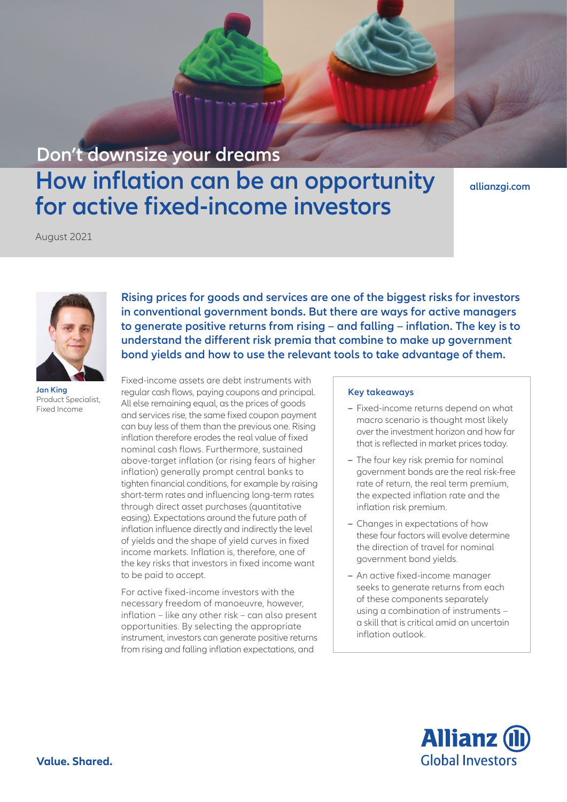## **Don't downsize your dreams**

# **How inflation can be an opportunity for active fixed-income investors**

**[allianzgi.com](https://www.allianzgi.com/)**

August 2021



**Jan King** Product Specialist, Fixed Income

**Rising prices for goods and services are one of the biggest risks for investors in conventional government bonds. But there are ways for active managers to generate positive returns from rising – and falling – inflation. The key is to understand the different risk premia that combine to make up government bond yields and how to use the relevant tools to take advantage of them.**

Fixed-income assets are debt instruments with regular cash flows, paying coupons and principal. All else remaining equal, as the prices of goods and services rise, the same fixed coupon payment can buy less of them than the previous one. Rising inflation therefore erodes the real value of fixed nominal cash flows. Furthermore, sustained above-target inflation (or rising fears of higher inflation) generally prompt central banks to tighten financial conditions, for example by raising short-term rates and influencing long-term rates through direct asset purchases (quantitative easing). Expectations around the future path of inflation influence directly and indirectly the level of yields and the shape of yield curves in fixed income markets. Inflation is, therefore, one of the key risks that investors in fixed income want to be paid to accept.

For active fixed-income investors with the necessary freedom of manoeuvre, however, inflation – like any other risk – can also present opportunities. By selecting the appropriate instrument, investors can generate positive returns from rising and falling inflation expectations, and

#### **Key takeaways**

- **–** Fixed-income returns depend on what macro scenario is thought most likely over the investment horizon and how far that is reflected in market prices today.
- **–** The four key risk premia for nominal government bonds are the real risk-free rate of return, the real term premium, the expected inflation rate and the inflation risk premium.
- **–** Changes in expectations of how these four factors will evolve determine the direction of travel for nominal government bond yields.
- **–** An active fixed-income manager seeks to generate returns from each of these components separately using a combination of instruments – a skill that is critical amid an uncertain inflation outlook.

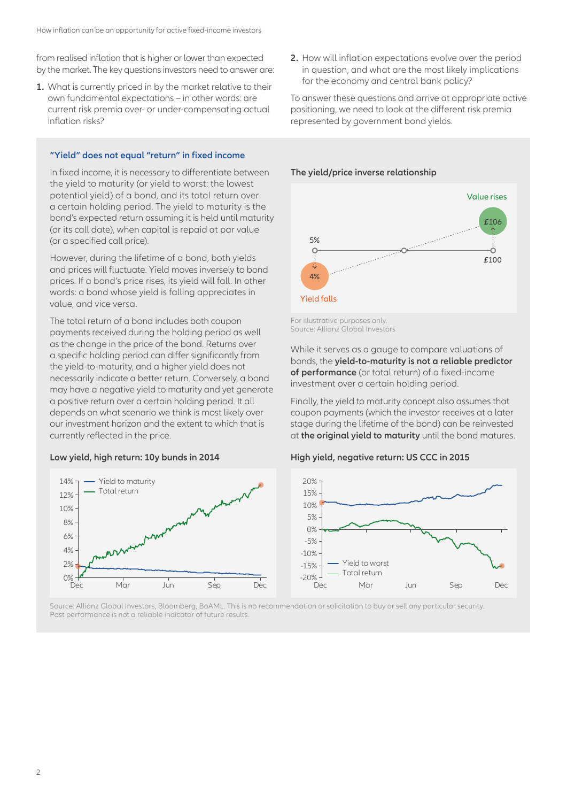from realised inflation that is higher or lower than expected by the market. The key questions investors need to answer are:

**1.** What is currently priced in by the market relative to their own fundamental expectations – in other words: are current risk premia over- or under-compensating actual inflation risks?

#### **"Yield" does not equal "return" in fixed income**

In fixed income, it is necessary to differentiate between the yield to maturity (or yield to worst: the lowest potential yield) of a bond, and its total return over a certain holding period. The yield to maturity is the bond's expected return assuming it is held until maturity (or its call date), when capital is repaid at par value (or a specified call price).

However, during the lifetime of a bond, both yields and prices will fluctuate. Yield moves inversely to bond prices. If a bond's price rises, its yield will fall. In other words: a bond whose yield is falling appreciates in value, and vice versa.

The total return of a bond includes both coupon payments received during the holding period as well as the change in the price of the bond. Returns over a specific holding period can differ significantly from the yield-to-maturity, and a higher yield does not necessarily indicate a better return. Conversely, a bond may have a negative yield to maturity and yet generate a positive return over a certain holding period. It all depends on what scenario we think is most likely over our investment horizon and the extent to which that is currently reflected in the price.

#### **Low yield, high return: 10y bunds in 2014**



**2.** How will inflation expectations evolve over the period in question, and what are the most likely implications for the economy and central bank policy?

To answer these questions and arrive at appropriate active positioning, we need to look at the different risk premia represented by government bond yields.

#### **The yield/price inverse relationship**



For illustrative purposes only. Source: Allianz Global Investors

While it serves as a gauge to compare valuations of bonds, the **yield-to-maturity is not a reliable predictor of performance** (or total return) of a fixed-income investment over a certain holding period.

Finally, the yield to maturity concept also assumes that coupon payments (which the investor receives at a later stage during the lifetime of the bond) can be reinvested at **the original yield to maturity** until the bond matures.

#### **High yield, negative return: US CCC in 2015**



Source: Allianz Global Investors, Bloomberg, BoAML. This is no recommendation or solicitation to buy or sell any particular security. Past performance is not a reliable indicator of future results.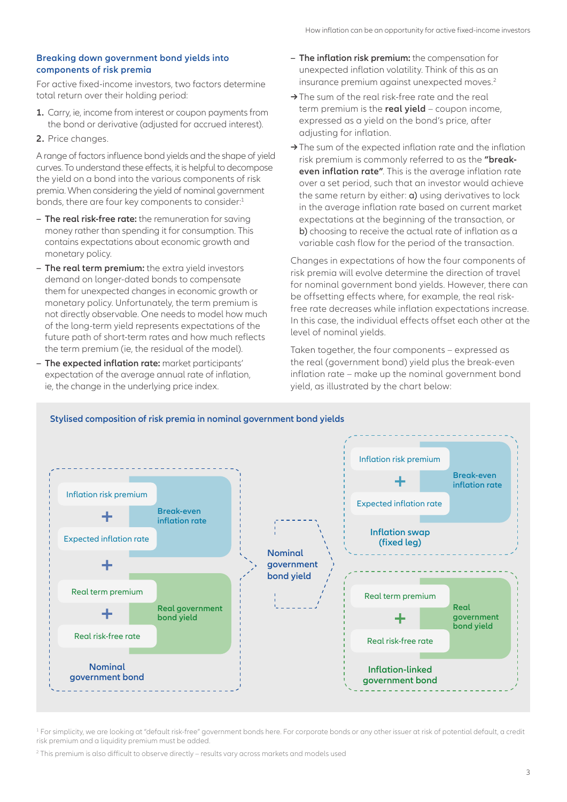#### **Breaking down government bond yields into components of risk premia**

For active fixed-income investors, two factors determine total return over their holding period:

- **1.** Carry, ie, income from interest or coupon payments from the bond or derivative (adjusted for accrued interest).
- **2.** Price changes.

A range of factors influence bond yields and the shape of yield curves. To understand these effects, it is helpful to decompose the yield on a bond into the various components of risk premia. When considering the yield of nominal government bonds, there are four key components to consider:<sup>1</sup>

- **– The real risk-free rate:** the remuneration for saving money rather than spending it for consumption. This contains expectations about economic growth and monetary policy.
- **– The real term premium:** the extra yield investors demand on longer-dated bonds to compensate them for unexpected changes in economic growth or monetary policy. Unfortunately, the term premium is not directly observable. One needs to model how much of the long-term yield represents expectations of the future path of short-term rates and how much reflects the term premium (ie, the residual of the model).
- **– The expected inflation rate:** market participants' expectation of the average annual rate of inflation, ie, the change in the underlying price index.
- **– The inflation risk premium:** the compensation for unexpected inflation volatility. Think of this as an insurance premium against unexpected moves.<sup>2</sup>
- **→**The sum of the real risk-free rate and the real term premium is the **real yield** – coupon income, expressed as a yield on the bond's price, after adjusting for inflation.
- **→**The sum of the expected inflation rate and the inflation risk premium is commonly referred to as the **"breakeven inflation rate"**. This is the average inflation rate over a set period, such that an investor would achieve the same return by either: **a**) using derivatives to lock in the average inflation rate based on current market expectations at the beginning of the transaction, or b) choosing to receive the actual rate of inflation as a variable cash flow for the period of the transaction.

Changes in expectations of how the four components of risk premia will evolve determine the direction of travel for nominal government bond yields. However, there can be offsetting effects where, for example, the real riskfree rate decreases while inflation expectations increase. In this case, the individual effects offset each other at the level of nominal yields.

Taken together, the four components – expressed as the real (government bond) yield plus the break-even inflation rate – make up the nominal government bond yield, as illustrated by the chart below:



1 For simplicity, we are looking at "default risk-free" government bonds here. For corporate bonds or any other issuer at risk of potential default, a credit risk premium and a liquidity premium must be added.

 $^{\rm 2}$  This premium is also difficult to observe directly – results vary across markets and models used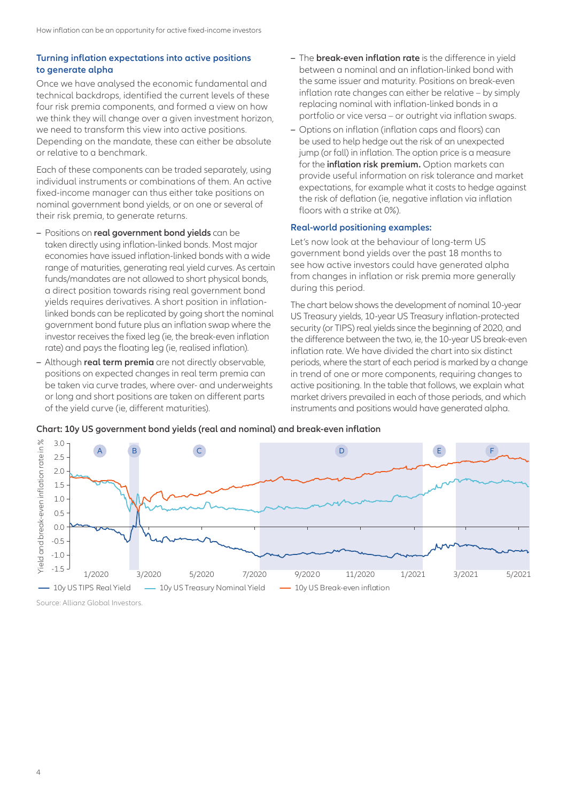### **Turning inflation expectations into active positions to generate alpha**

Once we have analysed the economic fundamental and technical backdrops, identified the current levels of these four risk premia components, and formed a view on how we think they will change over a given investment horizon, we need to transform this view into active positions. Depending on the mandate, these can either be absolute or relative to a benchmark.

Each of these components can be traded separately, using individual instruments or combinations of them. An active fixed-income manager can thus either take positions on nominal government bond yields, or on one or several of their risk premia, to generate returns.

- **–** Positions on **real government bond yields** can be taken directly using inflation-linked bonds. Most major economies have issued inflation-linked bonds with a wide range of maturities, generating real yield curves. As certain funds/mandates are not allowed to short physical bonds, a direct position towards rising real government bond yields requires derivatives. A short position in inflationlinked bonds can be replicated by going short the nominal government bond future plus an inflation swap where the investor receives the fixed leg (ie, the break-even inflation rate) and pays the floating leg (ie, realised inflation).
- **–** Although **real term premia** are not directly observable, positions on expected changes in real term premia can be taken via curve trades, where over- and underweights or long and short positions are taken on different parts of the yield curve (ie, different maturities).
- **–** The **break-even inflation rate** is the difference in yield between a nominal and an inflation-linked bond with the same issuer and maturity. Positions on break-even inflation rate changes can either be relative – by simply replacing nominal with inflation-linked bonds in a portfolio or vice versa – or outright via inflation swaps.
- **–** Options on inflation (inflation caps and floors) can be used to help hedge out the risk of an unexpected jump (or fall) in inflation. The option price is a measure for the **inflation risk premium.** Option markets can provide useful information on risk tolerance and market expectations, for example what it costs to hedge against the risk of deflation (ie, negative inflation via inflation floors with a strike at 0%).

#### **Real-world positioning examples:**

Let's now look at the behaviour of long-term US government bond yields over the past 18 months to see how active investors could have generated alpha from changes in inflation or risk premia more generally during this period.

The chart below shows the development of nominal 10-year US Treasury yields, 10-year US Treasury inflation-protected security (or TIPS) real yields since the beginning of 2020, and the difference between the two, ie, the 10-year US break-even inflation rate. We have divided the chart into six distinct periods, where the start of each period is marked by a change in trend of one or more components, requiring changes to active positioning. In the table that follows, we explain what market drivers prevailed in each of those periods, and which instruments and positions would have generated alpha.



**Chart: 10y US government bond yields (real and nominal) and break-even inflation**

Source: Allianz Global Investors.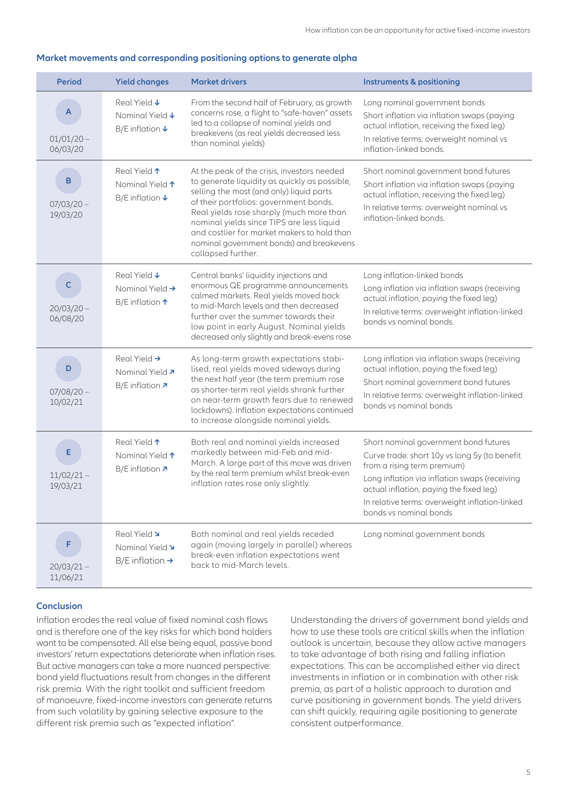#### **Period Yield changes Market drivers Instruments & positioning** 01/01/20 – 06/03/20 Real Yield **↓** Nominal Yield **↓** B/E inflation **↓** From the second half of February, as growth concerns rose, a flight to "safe-haven" assets led to a collapse of nominal yields and breakevens (as real yields decreased less than nominal yields) Long nominal government bonds Short inflation via inflation swaps (paying actual inflation, receiving the fixed leg) In relative terms: overweight nominal vs inflation-linked bonds. 07/03/20 – 19/03/20 Real Yield **↑** Nominal Yield **↑** B/E inflation **↓** At the peak of the crisis, investors needed to generate liquidity as quickly as possible, selling the most (and only) liquid parts of their portfolios: government bonds. Real yields rose sharply (much more than nominal yields since TIPS are less liquid and costlier for market makers to hold than nominal government bonds) and breakevens collapsed further. Short nominal government bond futures Short inflation via inflation swaps (paying actual inflation, receiving the fixed leg) In relative terms: overweight nominal vs inflation-linked bonds. 20/03/20 – 06/08/20 Real Yield **↓** Nominal Yield **→** B/E inflation **↑** Central banks' liquidity injections and enormous QE programme announcements calmed markets. Real yields moved back to mid-March levels and then decreased further over the summer towards their low point in early August. Nominal yields decreased only slightly and break-evens rose. Long inflation-linked bonds Long inflation via inflation swaps (receiving actual inflation, paying the fixed leg) In relative terms: overweight inflation-linked bonds vs nominal bonds. 07/08/20 – 10/02/21 Real Yield **→** Nominal Yield **↗** B/E inflation **↗** As long-term growth expectations stabilised, real yields moved sideways during the next half year (the term premium rose as shorter-term real yields shrank further on near-term growth fears due to renewed lockdowns). Inflation expectations continued to increase alongside nominal yields. Long inflation via inflation swaps (receiving actual inflation, paying the fixed leg) Short nominal government bond futures In relative terms: overweight inflation-linked bonds vs nominal bonds 11/02/21 – 19/03/21 Real Yield **↑** Nominal Yield **↑** B/E inflation **↗** Both real and nominal yields increased markedly between mid-Feb and mid-March. A large part of this move was driven by the real term premium whilst break-even inflation rates rose only slightly. Short nominal government bond futures Curve trade: short 10y vs long 5y (to benefit from a rising term premium) Long inflation via inflation swaps (receiving actual inflation, paying the fixed leg) In relative terms: overweight inflation-linked bonds vs nominal bonds 20/03/21 – 11/06/21 Real Yield **↘** Nominal Yield **↘** B/E inflation **→** Both nominal and real yields receded again (moving largely in parallel) whereas break-even inflation expectations went back to mid-March levels. Long nominal government bonds **A B C D E F**

#### **Market movements and corresponding positioning options to generate alpha**

#### **Conclusion**

Inflation erodes the real value of fixed nominal cash flows and is therefore one of the key risks for which bond holders want to be compensated. All else being equal, passive bond investors' return expectations deteriorate when inflation rises. But active managers can take a more nuanced perspective: bond yield fluctuations result from changes in the different risk premia. With the right toolkit and sufficient freedom of manoeuvre, fixed-income investors can generate returns from such volatility by gaining selective exposure to the different risk premia such as "expected inflation".

Understanding the drivers of government bond yields and how to use these tools are critical skills when the inflation outlook is uncertain, because they allow active managers to take advantage of both rising and falling inflation expectations. This can be accomplished either via direct investments in inflation or in combination with other risk premia, as part of a holistic approach to duration and curve positioning in government bonds. The yield drivers can shift quickly, requiring agile positioning to generate consistent outperformance.